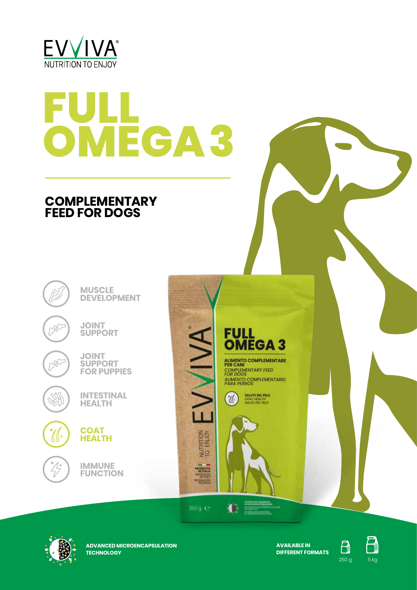

# **FULL OMEGA 3**

# **COMPLEMENTARY FEED FOR DOGS**

**MUSCLE DEVELOPMENT**

**JOINT SUPPORT**



**SPC** 

**JOINT SUPPORT FOR PUPPIES**



**INTESTINAL HEALTH**



**IMMUNE FUNCTION**



ALIMENTO COMPLEMENTARE<br>PER CANI COMPLEMENTARY FEED FOR DOGS<br>ALIMENTO COMPLEMENTARIO<br>PARA PERROS





NUTRITION<br>TO ENJOY

PRODUCED<br>PRODUCED<br>PRODUCED

 $250g \div$ 

**ADVANCED MICROENCAPSULATION TECHNOLOGY**

**AVAILABLE IN DIFFERENT FORMATS**



 $\Box$